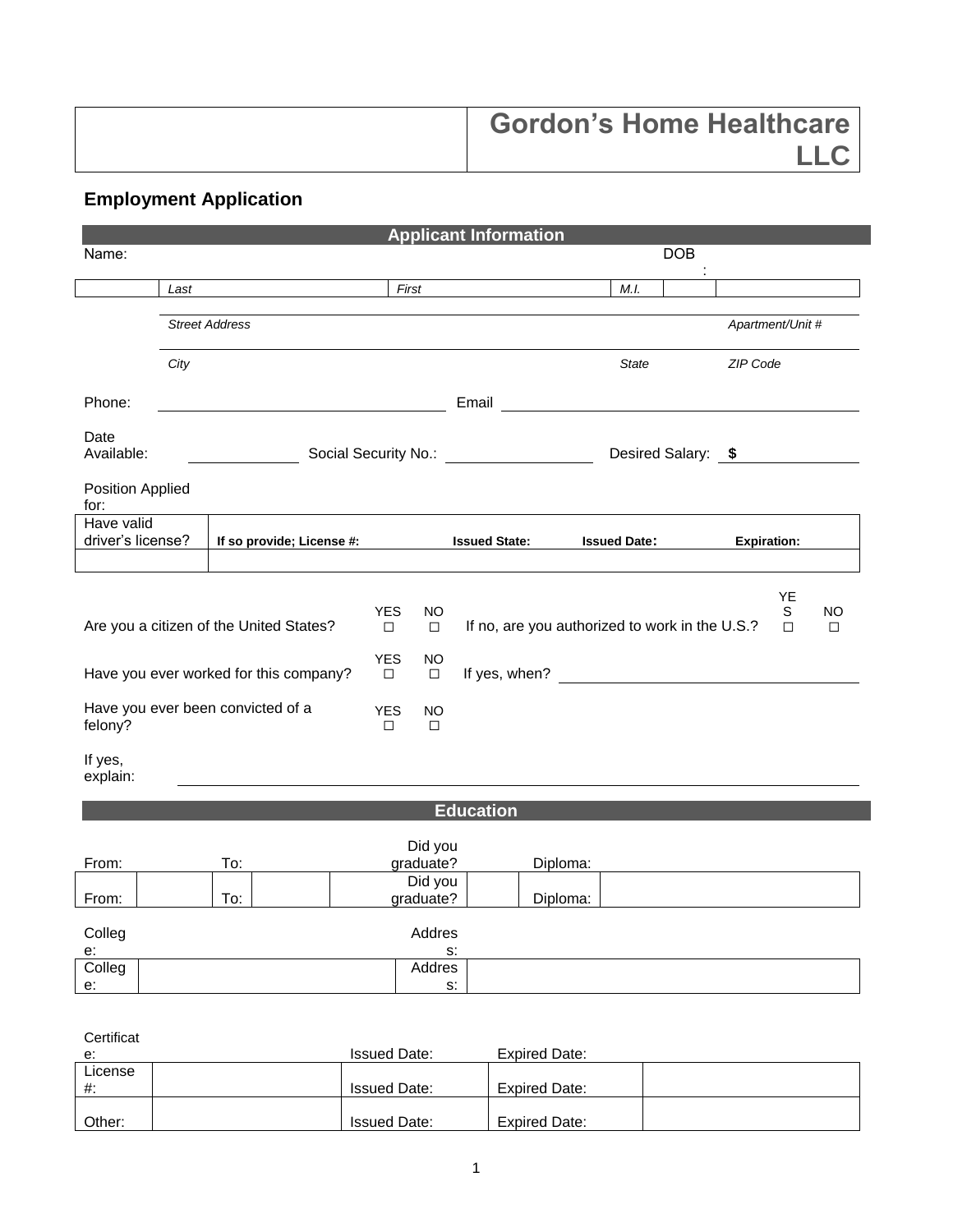| <b>Gordon's Home Healthcare</b> |
|---------------------------------|
|                                 |

## **Employment Application**

|                                 |      |                                          |                      | <b>Applicant Information</b>              |                  |                      |                                       |                     |            |                                                |                    |                     |
|---------------------------------|------|------------------------------------------|----------------------|-------------------------------------------|------------------|----------------------|---------------------------------------|---------------------|------------|------------------------------------------------|--------------------|---------------------|
| Name:                           |      |                                          |                      |                                           |                  |                      |                                       |                     | <b>DOB</b> |                                                |                    |                     |
|                                 | Last |                                          |                      | First                                     |                  |                      |                                       | M.I.                |            |                                                |                    |                     |
|                                 |      | <b>Street Address</b>                    |                      |                                           |                  |                      |                                       |                     |            |                                                | Apartment/Unit #   |                     |
|                                 | City |                                          |                      |                                           |                  |                      |                                       | <b>State</b>        |            | ZIP Code                                       |                    |                     |
| Phone:                          |      |                                          |                      |                                           |                  |                      | Email <u>________________________</u> |                     |            |                                                |                    |                     |
| Date<br>Available:              |      | Social Security No.: <u>All Alliance</u> |                      |                                           |                  |                      |                                       |                     |            | Desired Salary: \$                             |                    |                     |
| Position Applied<br>for:        |      |                                          |                      |                                           |                  |                      |                                       |                     |            |                                                |                    |                     |
| Have valid<br>driver's license? |      | If so provide; License #:                |                      |                                           |                  | <b>Issued State:</b> |                                       | <b>Issued Date:</b> |            |                                                | <b>Expiration:</b> |                     |
|                                 |      |                                          |                      |                                           |                  |                      |                                       |                     |            |                                                |                    |                     |
|                                 |      | Are you a citizen of the United States?  | <b>YES</b><br>$\Box$ | <b>NO</b><br>$\Box$                       |                  |                      |                                       |                     |            | If no, are you authorized to work in the U.S.? | YE<br>S<br>$\Box$  | <b>NO</b><br>$\Box$ |
|                                 |      | Have you ever worked for this company?   | <b>YES</b><br>$\Box$ | <b>NO</b><br>$\Box$                       |                  |                      |                                       |                     |            |                                                |                    |                     |
| felony?                         |      | Have you ever been convicted of a        | <b>YES</b><br>$\Box$ | NO<br>$\Box$                              |                  |                      |                                       |                     |            |                                                |                    |                     |
| If yes,<br>explain:             |      |                                          |                      |                                           |                  |                      |                                       |                     |            |                                                |                    |                     |
|                                 |      |                                          |                      |                                           | <b>Education</b> |                      |                                       |                     |            |                                                |                    |                     |
| From:                           |      | To:                                      |                      | Did you<br>graduate?                      |                  |                      | Diploma:                              |                     |            |                                                |                    |                     |
| From:                           |      | To:                                      |                      | Did you<br>graduate?                      |                  |                      | Diploma:                              |                     |            |                                                |                    |                     |
| Colleg                          |      |                                          |                      | Addres                                    |                  |                      |                                       |                     |            |                                                |                    |                     |
| $e$ :<br>Colleg<br>$e$ :        |      |                                          |                      | $\mathsf{S}\mathsf{.}$<br>Addres<br>$S$ : |                  |                      |                                       |                     |            |                                                |                    |                     |
|                                 |      |                                          |                      |                                           |                  |                      |                                       |                     |            |                                                |                    |                     |
| Certificat<br>e:                |      |                                          | <b>Issued Date:</b>  |                                           |                  |                      | <b>Expired Date:</b>                  |                     |            |                                                |                    |                     |
| License<br>#:                   |      |                                          | <b>Issued Date:</b>  |                                           |                  |                      | <b>Expired Date:</b>                  |                     |            |                                                |                    |                     |

| License<br>#: | <b>Issued Date:</b> | <b>Expired Date:</b> |  |
|---------------|---------------------|----------------------|--|
| Other:        | <b>Issued Date:</b> | <b>Expired Date:</b> |  |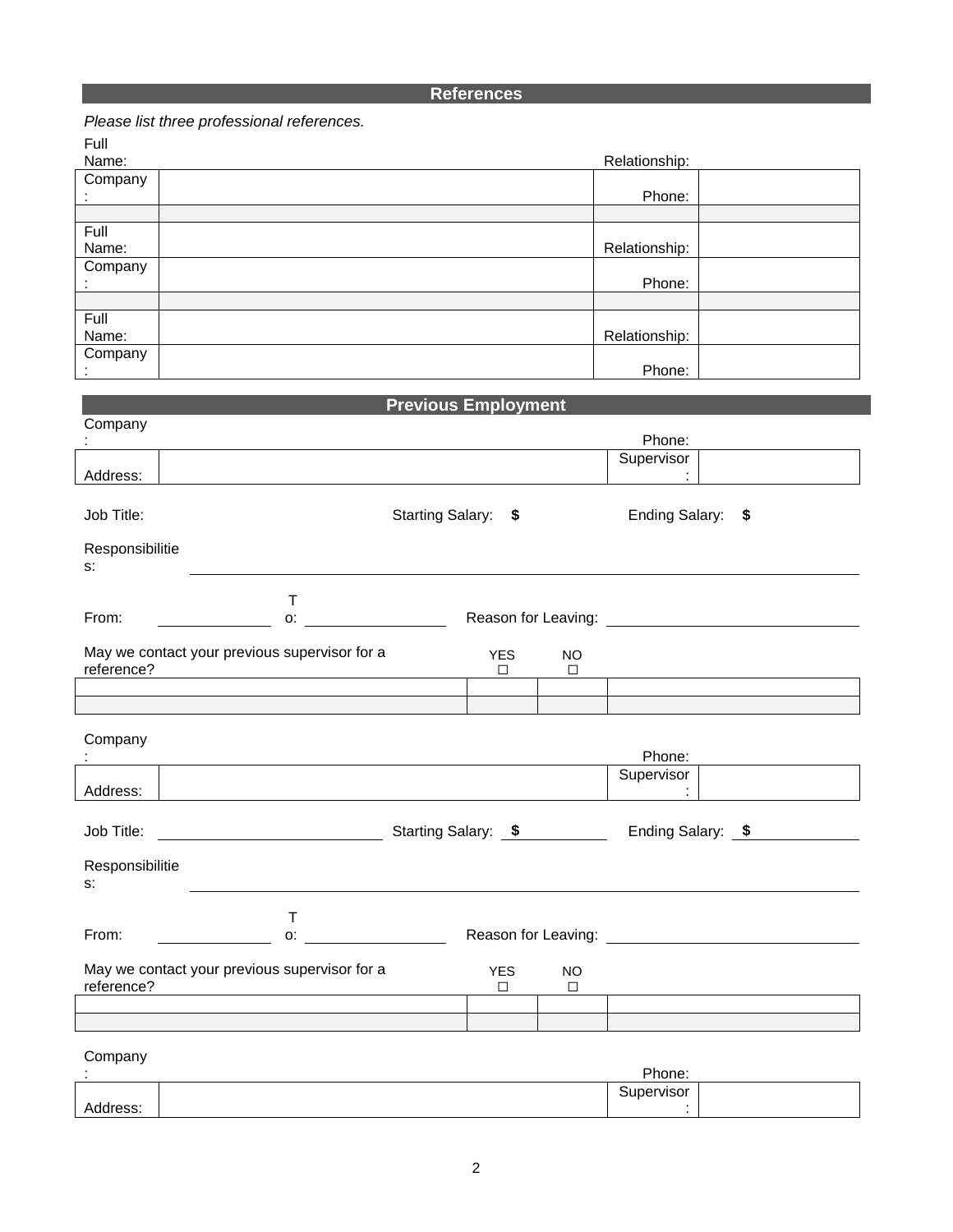## **References**

|                 | Please list three professional references. |                             |
|-----------------|--------------------------------------------|-----------------------------|
| Full            |                                            |                             |
| Name:           | Relationship:                              |                             |
| Company         |                                            |                             |
|                 | Phone:                                     |                             |
|                 |                                            |                             |
| Full            |                                            |                             |
| Name:           | Relationship:                              |                             |
| Company         |                                            |                             |
|                 | Phone:                                     |                             |
|                 |                                            |                             |
| Full            |                                            |                             |
| Name:           | Relationship:                              |                             |
| Company         |                                            |                             |
|                 | Phone:                                     |                             |
|                 | <b>Previous Employment</b>                 |                             |
| Company         |                                            |                             |
|                 | Phone:                                     |                             |
|                 | Supervisor                                 |                             |
| Address:        |                                            | $\bullet$                   |
|                 |                                            |                             |
| Job Title:      | Starting Salary: \$                        | <b>Ending Salary:</b><br>\$ |
|                 |                                            |                             |
| Responsibilitie |                                            |                             |
| S.              |                                            |                             |
|                 |                                            |                             |
|                 | Т                                          |                             |

| From:<br>О.                                                 | Reason for Leaving: |
|-------------------------------------------------------------|---------------------|
| May we contact your previous supervisor for a<br>reference? | YFS<br>NO           |
|                                                             |                     |
|                                                             |                     |

| ÷                        |                                               |                     |                     |                | Phone:<br>Supervisor |
|--------------------------|-----------------------------------------------|---------------------|---------------------|----------------|----------------------|
| Address:                 |                                               |                     |                     |                | ٠<br>$\blacksquare$  |
| Job Title:               |                                               | Starting Salary: \$ |                     |                | Ending Salary: \$    |
| Responsibilitie<br>$S$ : |                                               |                     |                     |                |                      |
| From:                    | Т<br>O:                                       |                     | Reason for Leaving: |                |                      |
| reference?               | May we contact your previous supervisor for a |                     | <b>YES</b><br>□     | <b>NO</b><br>□ |                      |
|                          |                                               |                     |                     |                |                      |
|                          |                                               |                     |                     |                |                      |
| Company                  |                                               |                     |                     |                | Phone:               |

|     | - הטווס.                       |  |
|-----|--------------------------------|--|
|     | <b>visor</b><br>.<br>⊶ו<br>___ |  |
| --- |                                |  |